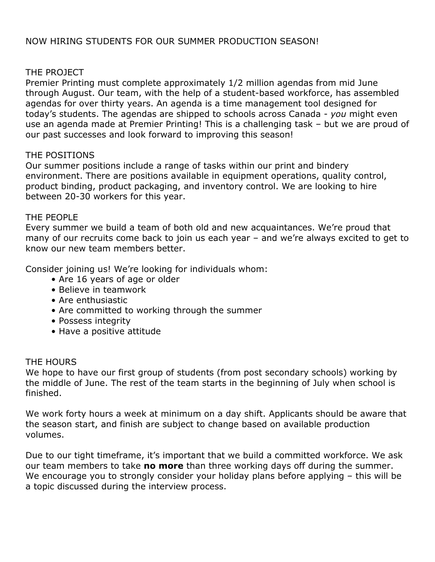# NOW HIRING STUDENTS FOR OUR SUMMER PRODUCTION SEASON!

### THE PROJECT

Premier Printing must complete approximately 1/2 million agendas from mid June through August. Our team, with the help of a student-based workforce, has assembled agendas for over thirty years. An agenda is a time management tool designed for today's students. The agendas are shipped to schools across Canada - *you* might even use an agenda made at Premier Printing! This is a challenging task – but we are proud of our past successes and look forward to improving this season!

## THE POSITIONS

Our summer positions include a range of tasks within our print and bindery environment. There are positions available in equipment operations, quality control, product binding, product packaging, and inventory control. We are looking to hire between 20-30 workers for this year.

#### THE PEOPLE

Every summer we build a team of both old and new acquaintances. We're proud that many of our recruits come back to join us each year – and we're always excited to get to know our new team members better.

Consider joining us! We're looking for individuals whom:

- Are 16 years of age or older
- Believe in teamwork
- Are enthusiastic
- Are committed to working through the summer
- Possess integrity
- Have a positive attitude

## THE HOURS

We hope to have our first group of students (from post secondary schools) working by the middle of June. The rest of the team starts in the beginning of July when school is finished.

We work forty hours a week at minimum on a day shift. Applicants should be aware that the season start, and finish are subject to change based on available production volumes.

Due to our tight timeframe, it's important that we build a committed workforce. We ask our team members to take **no more** than three working days off during the summer. We encourage you to strongly consider your holiday plans before applying – this will be a topic discussed during the interview process.